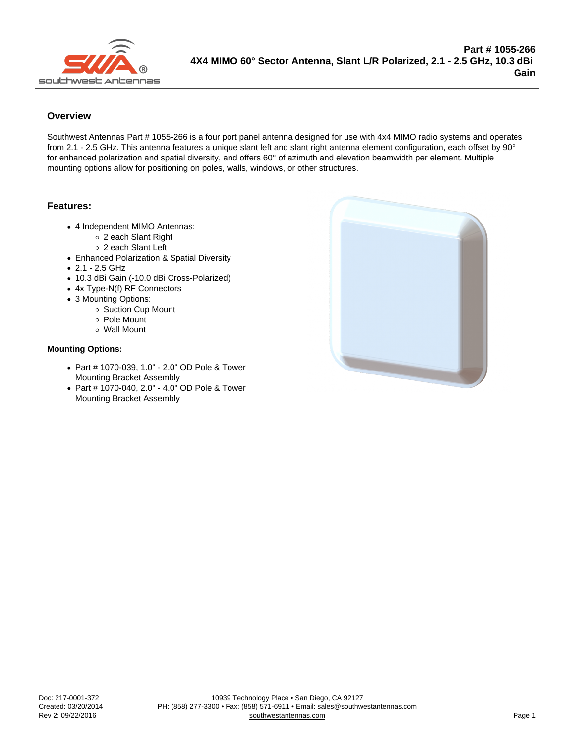## **Overview**

Southwest Antennas Part # 1055-266 is a four port panel antenna designed for use with 4x4 MIMO radio systems and operates from 2.1 - 2.5 GHz. This antenna features a unique slant left and slant right antenna element configuration, each offset by 90° for enhanced polarization and spatial diversity, and offers 60° of azimuth and elevation beamwidth per element. Multiple mounting options allow for positioning on poles, walls, windows, or other structures.

## Features:

- 4 Independent MIMO Antennas:
	- 2 each Slant Right
	- 2 each Slant Left
- Enhanced Polarization & Spatial Diversity
- 2.1 2.5 GHz
- 10.3 dBi Gain (-10.0 dBi Cross-Polarized)
- 4x Type-N(f) RF Connectors
- 3 Mounting Options:
	- o Suction Cup Mount
	- Pole Mount
	- Wall Mount

## Mounting Options:

- Part # 1070-039, 1.0" 2.0" OD Pole & Tower Mounting Bracket Assembly
- Part # 1070-040, 2.0" 4.0" OD Pole & Tower Mounting Bracket Assembly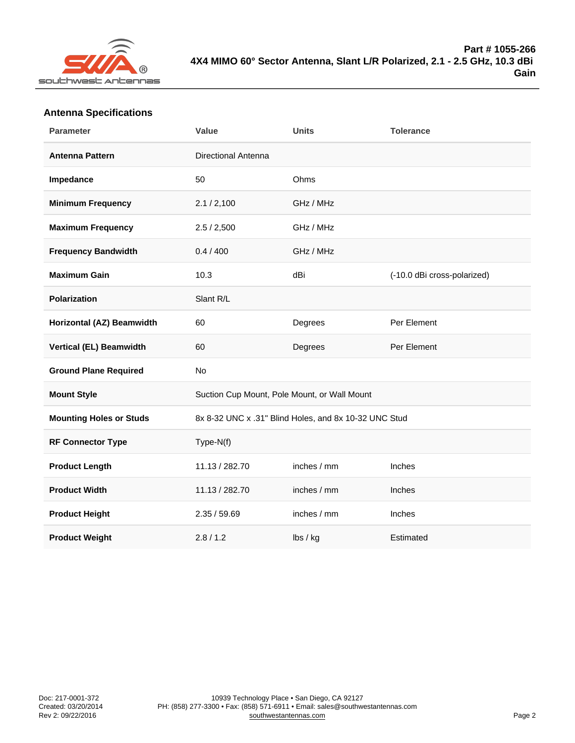## Antenna Specifications

| Parameter                    | Value                                                 | Units               | Tolerance                   |
|------------------------------|-------------------------------------------------------|---------------------|-----------------------------|
| Antenna Pattern              | <b>Directional Antenna</b>                            |                     |                             |
| Impedance                    | 50                                                    | Ohms                |                             |
| Minimum Frequency            | 2.1 / 2,100                                           | GHz / MHz           |                             |
| Maximum Frequency            | 2.5 / 2,500                                           | GHz / MHz           |                             |
| Frequency Bandwidth          | 0.4 / 400                                             | GHz / MHz           |                             |
| Maximum Gain                 | 10.3                                                  | dBi                 | (-10.0 dBi cross-polarized) |
| Polarization                 | Slant R/L                                             |                     |                             |
| Horizontal (AZ) Beamwidth    | 60                                                    | Degrees             | Per Element                 |
| Vertical (EL) Beamwidth      | 60                                                    | Degrees             | Per Element                 |
| <b>Ground Plane Required</b> | No                                                    |                     |                             |
| Mount Style                  | Suction Cup Mount, Pole Mount, or Wall Mount          |                     |                             |
| Mounting Holes or Studs      | 8x 8-32 UNC x .31" Blind Holes, and 8x 10-32 UNC Stud |                     |                             |
| RF Connector Type            | Type-N(f)                                             |                     |                             |
| Product Length               | 11.13 / 282.70                                        | inches / mm         | Inches                      |
| <b>Product Width</b>         | 11.13 / 282.70                                        | inches / mm         | Inches                      |
| Product Height               | 2.35 / 59.69                                          | inches / mm         | Inches                      |
| <b>Product Weight</b>        | 2.8 / 1.2                                             | $\mathsf{lbs}$ / kg | Estimated                   |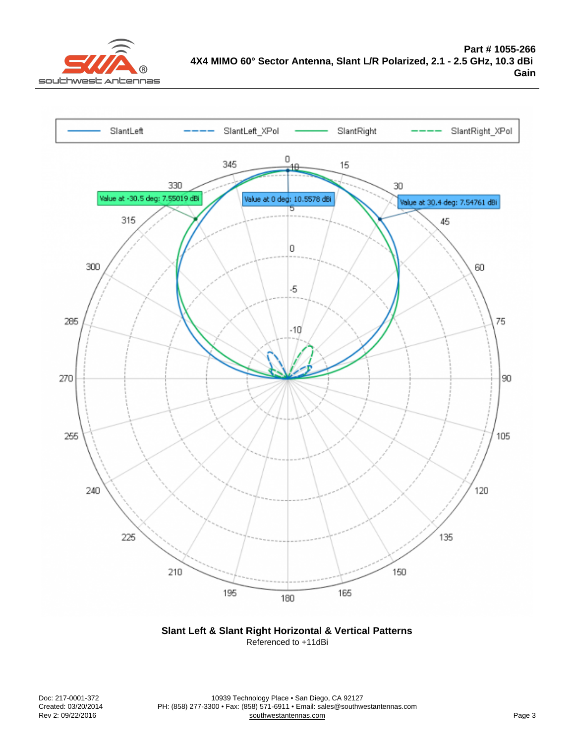Slant Left & Slant Right Horizontal & Vertical Patterns Referenced to +11dBi